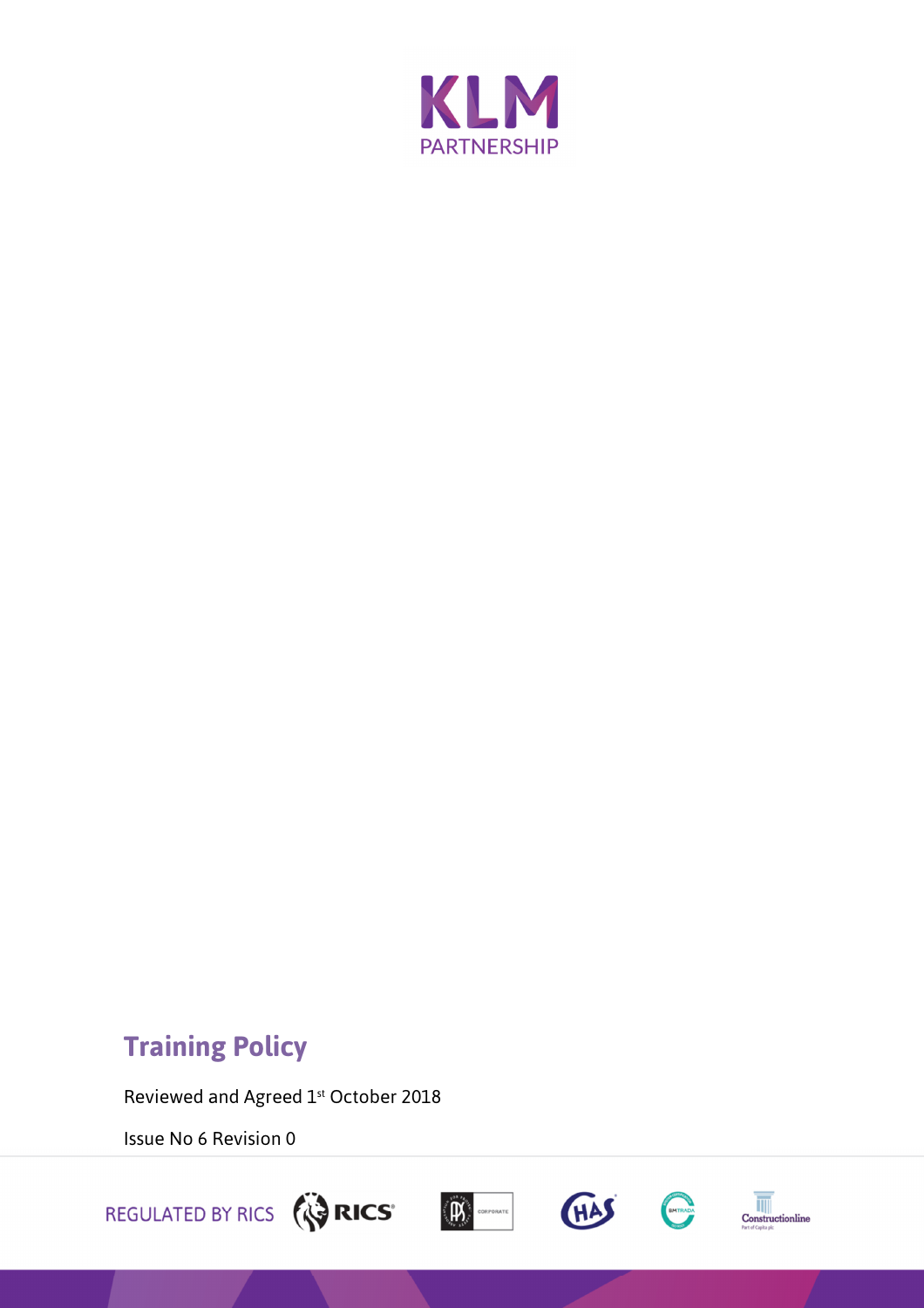

# **Training Policy**

Reviewed and Agreed 1st October 2018

Issue No 6 Revision 0







 $\begin{array}{c|c}\n\hline\n\hline\n\hline\n\hline\n\hline\n\end{array}$  Construction<br>line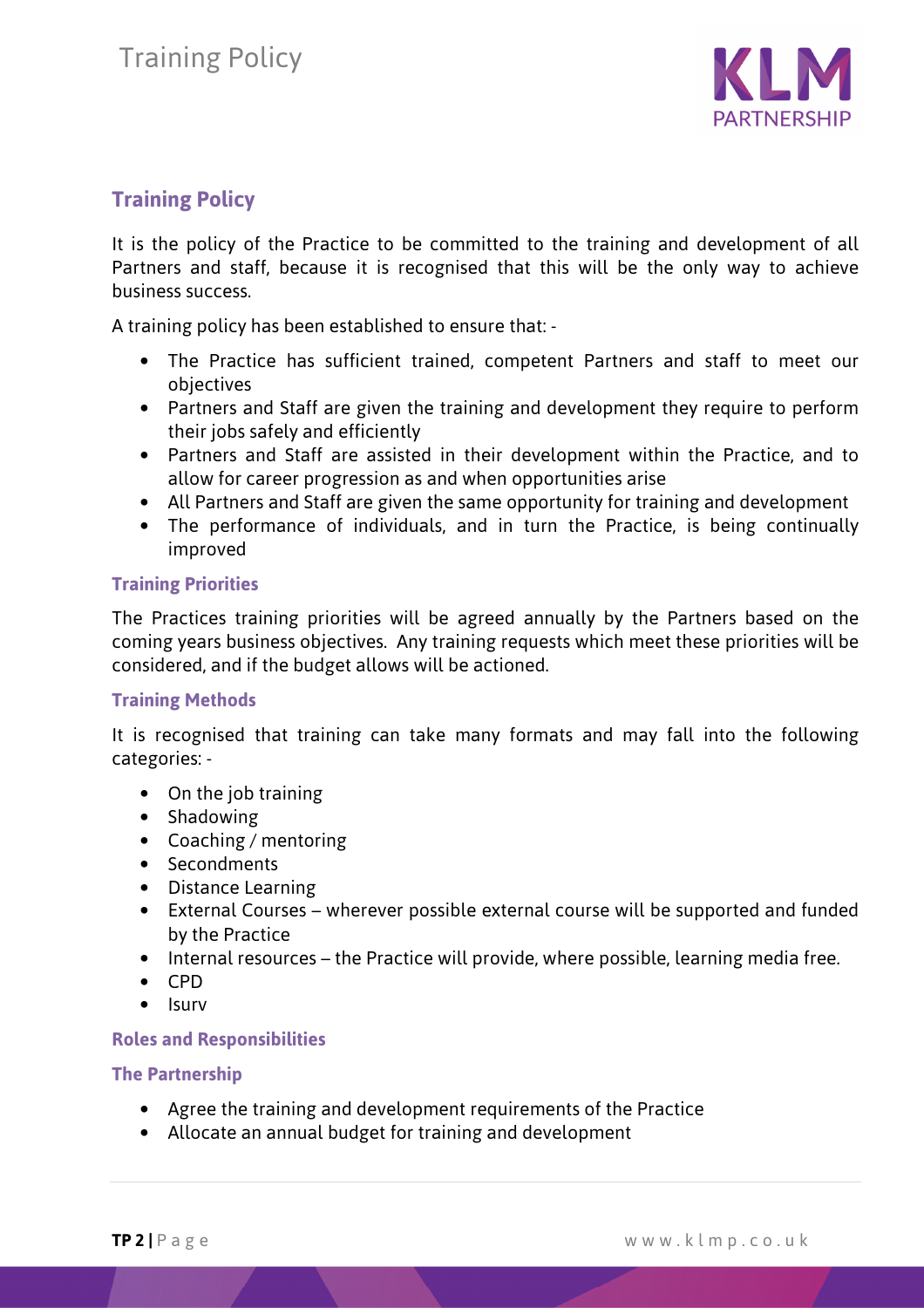

# **Training Policy**

It is the policy of the Practice to be committed to the training and development of all Partners and staff, because it is recognised that this will be the only way to achieve business success.

A training policy has been established to ensure that: -

- The Practice has sufficient trained, competent Partners and staff to meet our objectives
- Partners and Staff are given the training and development they require to perform their jobs safely and efficiently
- Partners and Staff are assisted in their development within the Practice, and to allow for career progression as and when opportunities arise
- All Partners and Staff are given the same opportunity for training and development
- The performance of individuals, and in turn the Practice, is being continually improved

#### **Training Priorities**

The Practices training priorities will be agreed annually by the Partners based on the coming years business objectives. Any training requests which meet these priorities will be considered, and if the budget allows will be actioned.

#### **Training Methods**

It is recognised that training can take many formats and may fall into the following categories: -

- On the job training
- Shadowing
- Coaching / mentoring
- Secondments
- Distance Learning
- External Courses wherever possible external course will be supported and funded by the Practice
- Internal resources the Practice will provide, where possible, learning media free.
- CPD
- Isurv

#### **Roles and Responsibilities**

#### **The Partnership**

- Agree the training and development requirements of the Practice
- Allocate an annual budget for training and development